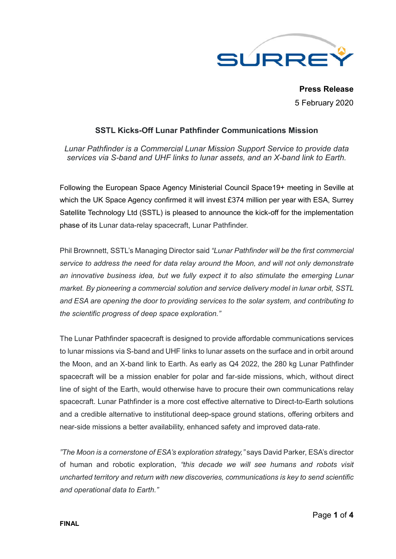

**Press Release** 5 February 2020

# **SSTL Kicks-Off Lunar Pathfinder Communications Mission**

*Lunar Pathfinder is a Commercial Lunar Mission Support Service to provide data services via S-band and UHF links to lunar assets, and an X-band link to Earth.* 

Following the European Space Agency Ministerial Council Space19+ meeting in Seville at which the UK Space Agency confirmed it will invest £374 million per year with ESA, Surrey Satellite Technology Ltd (SSTL) is pleased to announce the kick-off for the implementation phase of its Lunar data-relay spacecraft, Lunar Pathfinder.

Phil Brownnett, SSTL's Managing Director said *"Lunar Pathfinder will be the first commercial service to address the need for data relay around the Moon, and will not only demonstrate an innovative business idea, but we fully expect it to also stimulate the emerging Lunar market. By pioneering a commercial solution and service delivery model in lunar orbit, SSTL and ESA are opening the door to providing services to the solar system, and contributing to the scientific progress of deep space exploration."*

The Lunar Pathfinder spacecraft is designed to provide affordable communications services to lunar missions via S-band and UHF links to lunar assets on the surface and in orbit around the Moon, and an X-band link to Earth. As early as Q4 2022, the 280 kg Lunar Pathfinder spacecraft will be a mission enabler for polar and far-side missions, which, without direct line of sight of the Earth, would otherwise have to procure their own communications relay spacecraft. Lunar Pathfinder is a more cost effective alternative to Direct-to-Earth solutions and a credible alternative to institutional deep-space ground stations, offering orbiters and near-side missions a better availability, enhanced safety and improved data-rate.

*"The Moon is a cornerstone of ESA's exploration strategy,"* says David Parker, ESA's director of human and robotic exploration, *"this decade we will see humans and robots visit uncharted territory and return with new discoveries, communications is key to send scientific and operational data to Earth."*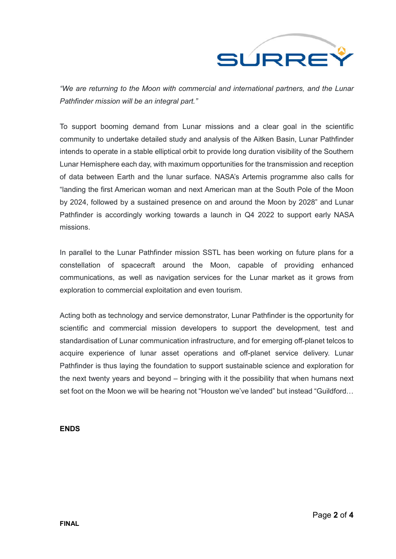

*"We are returning to the Moon with commercial and international partners, and the Lunar Pathfinder mission will be an integral part."*

To support booming demand from Lunar missions and a clear goal in the scientific community to undertake detailed study and analysis of the Aitken Basin, Lunar Pathfinder intends to operate in a stable elliptical orbit to provide long duration visibility of the Southern Lunar Hemisphere each day, with maximum opportunities for the transmission and reception of data between Earth and the lunar surface. NASA's Artemis programme also calls for "landing the first American woman and next American man at the South Pole of the Moon by 2024, followed by a sustained presence on and around the Moon by 2028" and Lunar Pathfinder is accordingly working towards a launch in Q4 2022 to support early NASA missions.

In parallel to the Lunar Pathfinder mission SSTL has been working on future plans for a constellation of spacecraft around the Moon, capable of providing enhanced communications, as well as navigation services for the Lunar market as it grows from exploration to commercial exploitation and even tourism.

Acting both as technology and service demonstrator, Lunar Pathfinder is the opportunity for scientific and commercial mission developers to support the development, test and standardisation of Lunar communication infrastructure, and for emerging off-planet telcos to acquire experience of lunar asset operations and off-planet service delivery. Lunar Pathfinder is thus laying the foundation to support sustainable science and exploration for the next twenty years and beyond – bringing with it the possibility that when humans next set foot on the Moon we will be hearing not "Houston we've landed" but instead "Guildford…

**ENDS**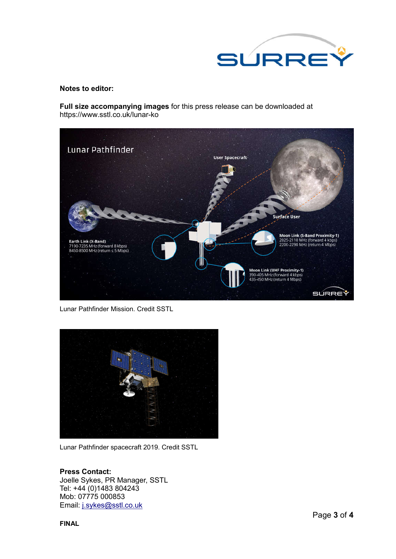

#### **Notes to editor:**

**Full size accompanying images** for this press release can be downloaded at https://www.sstl.co.uk/lunar-ko



Lunar Pathfinder Mission. Credit SSTL



Lunar Pathfinder spacecraft 2019. Credit SSTL

### **Press Contact:**

Joelle Sykes, PR Manager, SSTL Tel: +44 (0)1483 804243 Mob: 07775 000853 Email: j.sykes@sstl.co.uk

**FINAL**